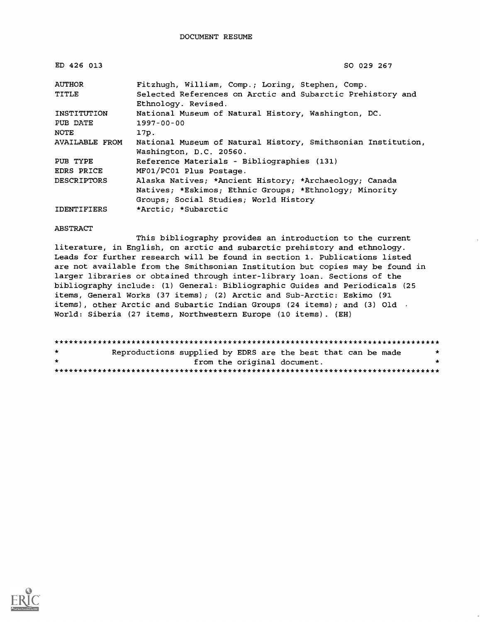| ED 426 013         | SO 029 267                                                   |  |  |  |  |  |  |
|--------------------|--------------------------------------------------------------|--|--|--|--|--|--|
| AUTHOR             | Fitzhugh, William, Comp.; Loring, Stephen, Comp.             |  |  |  |  |  |  |
| TITLE              | Selected References on Arctic and Subarctic Prehistory and   |  |  |  |  |  |  |
|                    | Ethnology. Revised.                                          |  |  |  |  |  |  |
| INSTITUTION        | National Museum of Natural History, Washington, DC.          |  |  |  |  |  |  |
| PUB DATE           | $1997 - 00 - 00$                                             |  |  |  |  |  |  |
| NOTE               | 17p.                                                         |  |  |  |  |  |  |
| AVAILABLE FROM     | National Museum of Natural History, Smithsonian Institution, |  |  |  |  |  |  |
|                    | Washington, D.C. 20560.                                      |  |  |  |  |  |  |
| PUB TYPE           | Reference Materials - Bibliographies (131)                   |  |  |  |  |  |  |
| EDRS PRICE         | MF01/PC01 Plus Postage.                                      |  |  |  |  |  |  |
| <b>DESCRIPTORS</b> | Alaska Natives; *Ancient History; *Archaeology; Canada       |  |  |  |  |  |  |
|                    | Natives; *Eskimos; Ethnic Groups; *Ethnology; Minority       |  |  |  |  |  |  |
|                    | Groups; Social Studies; World History                        |  |  |  |  |  |  |
| <b>IDENTIFIERS</b> | *Arctic: *Subarctic                                          |  |  |  |  |  |  |

#### ABSTRACT

This bibliography provides an introduction to the current literature, in English, on arctic and subarctic prehistory and ethnology. Leads for further research will be found in section 1. Publications listed are not available from the Smithsonian Institution but copies may be found in larger libraries or obtained through inter-library loan. Sections of the bibliography include: (1) General: Bibliographic Guides and Periodicals (25 items, General Works (37 items); (2) Arctic and Sub-Arctic: Eskimo (91 items), other Arctic and Subartic Indian Groups (24 items); and (3) Old  $\cdot$ World: Siberia (27 items, Northwestern Europe (10 items) . (EH)

| $\star$   | Reproductions supplied by EDRS are the best that can be made |  |                             | *   |  |
|-----------|--------------------------------------------------------------|--|-----------------------------|-----|--|
| $\bullet$ |                                                              |  | from the original document. | . . |  |
|           |                                                              |  |                             |     |  |

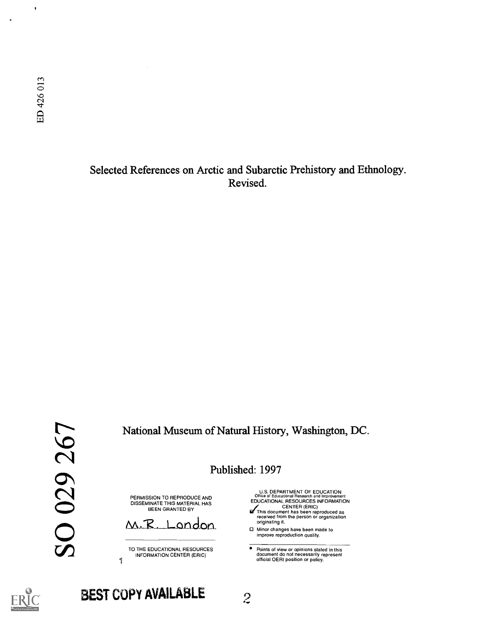$\pmb{\cdot}$ 

Selected References on Arctic and Subarctic Prehistory and Ethnology. Revised.

National Museum of Natural History, Washington, DC.

Published: 1997

PERMISSION TO REPRODUCE AND DISSEMINATE THIS MATERIAL HAS BEEN GRANTED BY

M.R. London

TO THE EDUCATIONAL RESOURCES INFORMATION CENTER (ERIC)

U.S. DEPARTMENT OF EDUCATION<br>Office of Educational Research and Improvement<br>EDUCATIONAL RESOURCES INFORMATION

- CENTER (ERIC)<br>This document has been reproduced as<br>received from the person or organization originating it.
- □ Minor changes have been made to improve reproduction quality.

 $\bullet$ Points of view or opinions stated in this document do not necessarily represent official OERI position or policy.



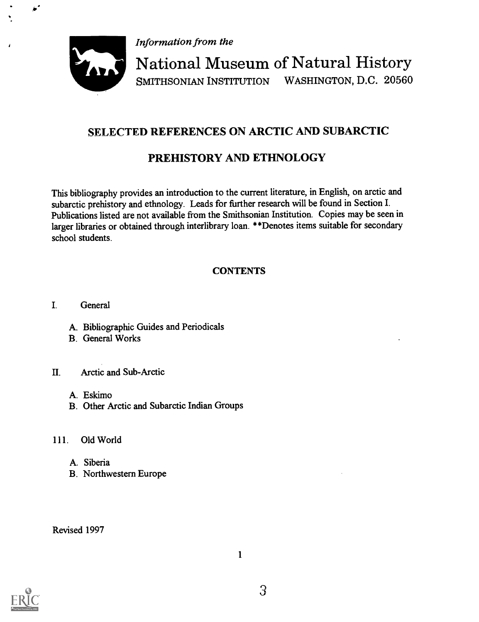Information from the



National Museum of Natural History SMITHSONIAN INSTITUTION WASHINGTON, D.C. 20560

# SELECTED REFERENCES ON ARCTIC AND SUBARCTIC

# PREHISTORY AND ETHNOLOGY

This bibliography provides an introduction to the current literature, in English, on arctic and subarctic prehistory and ethnology. Leads for further research will be found in Section I. Publications listed are not available from the Smithsonian Institution. Copies may be seen in larger libraries or obtained through interlibrary loan. \*\*Denotes items suitable for secondary school students.

# **CONTENTS**

I. General

- A. Bibliographic Guides and Periodicals
- B. General Works

## IL Arctic and Sub-Arctic

- A. Eskimo
- B. Other Arctic and Subarctic Indian Groups

## 111. Old World

- A. Siberia
- B. Northwestern Europe

Revised 1997

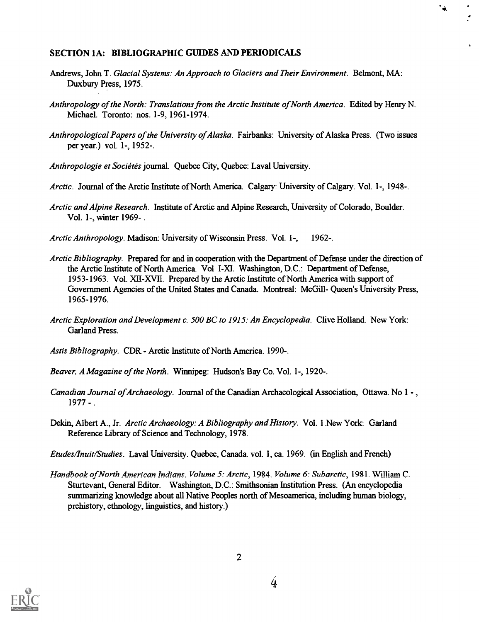#### SECTION 1A: BIBLIOGRAPHIC GUIDES AND PERIODICALS

- Andrews, John T. Glacial Systems: An Approach to Glaciers and Their Environment. Belmont, MA: Duxbury Press, 1975.
- Anthropology of the North: Translations from the Arctic Institute of North America. Edited by Henry N. Michael. Toronto: nos. 1-9, 1961-1974.

 $\bullet$ 

- Anthropological Papers of the University of Alaska. Fairbanks: University of Alaska Press. (Two issues per year.) vol. 1-, 1952-.
- Anthropologie et Sociétés journal. Quebec City, Quebec: Laval University.
- Arctic. Journal of the Arctic Institute of North America. Calgary: University of Calgary. Vol. 1-, 1948-.
- Arctic and Alpine Research. Institute of Arctic and Alpine Research, University of Colorado, Boulder. Vol. 1-, winter 1969- .
- Arctic Anthropology. Madison: University of Wisconsin Press. Vol. 1-, 1962-.
- Arctic Bibliography. Prepared for and in cooperation with the Department of Defense under the direction of the Arctic Institute of North America. Vol. I-Xl. Washington, D.C.: Department of Defense, 1953-1963. Vol. XII-XVII. Prepared by the Arctic Institute of North America with support of Government Agencies of the United States and Canada. Montreal: McGill- Queen's University Press, 1965-1976.
- Arctic Exploration and Development c. 500 BC to 1915: An Encyclopedia. Clive Holland. New York: Garland Press.
- Astis Bibliography. CDR Arctic Institute of North America. 1990-.
- Beaver, A Magazine of the North. Winnipeg: Hudson's Bay Co. Vol. 1-, 1920-.
- Canadian Journal of Archaeology. Journal of the Canadian Archaeological Association, Ottawa. No 1 , 1977 - .
- Dekin, Albert A., Jr. Arctic Archaeology: A Bibliography and History. Vol. 1.New York: Garland Reference Library of Science and Technology, 1978.
- Etudes/Inuit/Studies. Laval University. Quebec, Canada. vol. 1, ca. 1969. (in English and French)
- Handbook of North American Indians. Volume 5: Arctic, 1984. Volume 6: Subarctic, 1981. William C. Sturtevant, General Editor. Washington, D.C.: Smithsonian Institution Press. (An encyclopedia summarizing knowledge about all Native Peoples north of Mesoamerica, including human biology, prehistory, ethnology, linguistics, and history.)

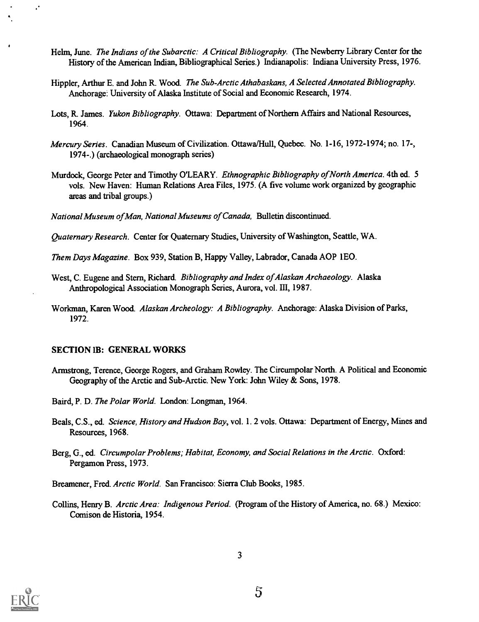- Helm, June. The Indians of the Subarctic: A Critical Bibliography. (The Newberry Library Center for the History of the American Indian, Bibliographical Series.) Indianapolis: Indiana University Press, 1976.
- Hippler, Arthur E. and John R. Wood. The Sub-Arctic Athabaskans, A Selected Annotated Bibliography. Anchorage: University of Alaska Institute of Social and Economic Research, 1974.
- Lots, R. James. *Yukon Bibliography*. Ottawa: Department of Northern Affairs and National Resources, 1964.
- Mercury Series. Canadian Museum of Civilization. Ottawa/Hull, Quebec. No. 1-16, 1972-1974; no. 17-, 1974-.) (archaeological monograph series)
- Murdock, George Peter and Timothy O'LEARY. Ethnographic Bibliography of North America. 4th ed. 5 vols. New Haven: Human Relations Area Files, 1975. (A five volume work organized by geographic areas and tribal groups.)
- National Museum ofMan, National Museums of Canada, Bulletin discontinued.

Quaternary Research. Center for Quaternary Studies, University of Washington, Seattle, WA.

Them Days Magazine. Box 939, Station B, Happy Valley, Labrador, Canada AOP 1E0.

- West, C. Eugene and Stern, Richard. Bibliography and Index of Alaskan Archaeology. Alaska Anthropological Association Monograph Series, Aurora, vol. III, 1987.
- Workman, Karen Wood. Alaskan Archeology: A Bibliography. Anchorage: Alaska Division of Parks, 1972.

#### SECTION IB: GENERAL WORKS

- Armstrong, Terence, George Rogers, and Graham Rowley. The Circumpolar North. A Political and Economic Geography of the Arctic and Sub-Arctic. New York: John Wiley & Sons, 1978.
- Baird, P. D. The Polar World. London: Longman, 1964.
- Beals, C.S., ed. Science, History and Hudson Bay, vol. 1. 2 vols. Ottawa: Department of Energy, Mines and Resources, 1968.
- Berg, G., ed. Circumpolar Problems; Habitat, Economy, and Social Relations in the Arctic. Oxford: Pergamon Press, 1973.

Breamener, Fred. Arctic World. San Francisco: Sierra Club Books, 1985.

Collins, Henry B. Arctic Area: Indigenous Period. (Program of the History of America, no. 68.) Mexico: Comison de Historia, 1954.



 $\ddot{\cdot}$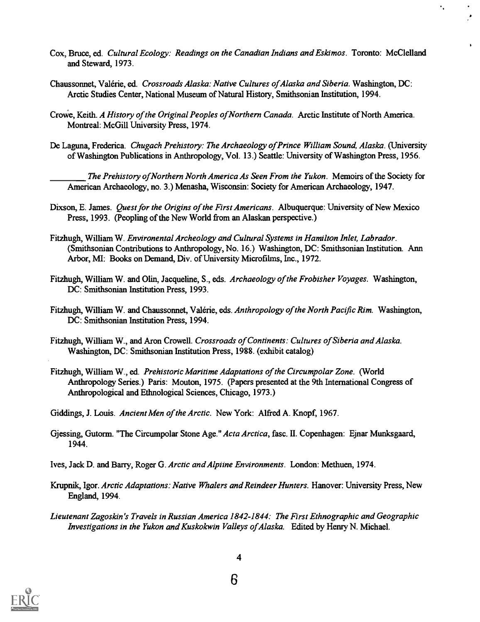Cox, Bruce, ed. Cultural Ecology: Readings on the Canadian Indians and Eskimos. Toronto: McClelland and Steward, 1973.

۰.

- Chaussonnet, Valerie, ed. Crossroads Alaska: Native Cultures of Alaska and Siberia. Washington, DC: Arctic Studies Center, National Museum of Natural History, Smithsonian Institution, 1994.
- Crowe, Keith. A History of the Original Peoples of Northern Canada. Arctic Institute of North America. Montreal: McGill University Press, 1974.
- De Laguna, Frederica. Chugach Prehistory: The Archaeology of Prince William Sound, Alaska. (University of Washington Publications in Anthropology, Vol. 13.) Seattle: University of Washington Press, 1956.

The Prehistory of Northern North America As Seen From the Yukon. Memoirs of the Society for American Archaeology, no. 3.) Menasha, Wisconsin: Society for American Archaeology, 1947.

- Dixson, E. James. *Quest for the Origins of the First Americans*. Albuquerque: University of New Mexico Press, 1993. (Peopling of the New World from an Alaskan perspective.)
- Fitzhugh, William W. Environental Archeology and Cultural Systems in Hamilton Inlet, Labrador. (Smithsonian Contributions to Anthropology, No. 16.) Washington, DC: Smithsonian Institution. Ann Arbor, MI: Books on Demand, Div. of University Microfilms, Inc., 1972.
- Fitzhugh, William W. and Olin, Jacqueline, S., eds. Archaeology of the Frobisher Voyages. Washington, DC: Smithsonian Institution Press, 1993.
- Fitzhugh, William W. and Chaussonnet, Valérie, eds. Anthropology of the North Pacific Rim. Washington, DC: Smithsonian Institution Press, 1994.
- Fitzhugh, William W., and Aron Crowell. Crossroads of Continents: Cultures of Siberia and Alaska. Washington, DC: Smithsonian Institution Press, 1988. (exhibit catalog)
- Fitzhugh, William W., ed. Prehistoric Maritime Adaptations of the Circumpolar Zone. (World Anthropology Series.) Paris: Mouton, 1975. (Papers presented at the 9th International Congress of Anthropological and Ethnological Sciences, Chicago, 1973.)
- Giddings, J. Louis. Ancient Men of the Arctic. New York: Alfred A. Knopf, 1967.
- Gjessing, Gutorm. "The Circumpolar Stone Age." Acta Arctica, fasc. II. Copenhagen: Ejnar Munksgaard, 1944.
- Ives, Jack D. and Barry, Roger G. Arctic and Alpiine Environments. London: Methuen, 1974.
- Krupnik, Igor. Arctic Adaptations: Native Whalers and Reindeer Hunters. Hanover: University Press, New England, 1994.
- Lieutenant Zagoskin's Travels in Russian America 1842-1844: The First Ethnographic and Geographic Investigations in the Yukon and Kuskokwin Valleys of Alaska. Edited by Henry N. Michael.

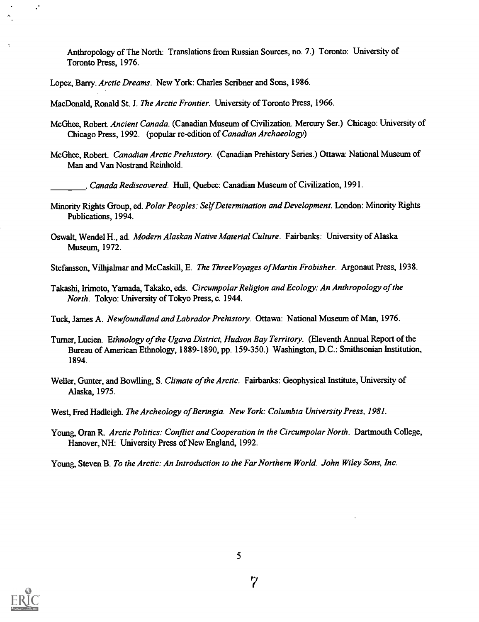Anthropology of The North: Translations from Russian Sources, no. 7.) Toronto: University of Toronto Press, 1976.

Lopez, Barry. Arctic Dreams. New York: Charles Scribner and Sons, 1986.

MacDonald, Ronald St. J. The Arctic Frontier. University of Toronto Press, 1966.

- McGhee, Robert. Ancient Canada. (Canadian Museum of Civilization. Mercury Ser.) Chicago: University of Chicago Press, 1992. (popular re-edition of Canadian Archaeology)
- McGhee, Robert. Canadian Arctic Prehistory. (Canadian Prehistory Series.) Ottawa: National Museum of Man and Van Nostrand Reinhold.

. Canada Rediscovered. Hull, Quebec: Canadian Museum of Civilization, 1991.

- Minority Rights Group, ed. Polar Peoples: Self Determination and Development. London: Minority Rights Publications, 1994.
- Oswalt, Wendel H., ad. Modern Alaskan Native Material Culture. Fairbanks: University of Alaska Museum, 1972.
- Stefansson, Vilhjalmar and McCaskill, E. The ThreeVoyages of Martin Frobisher. Argonaut Press, 1938.
- Takashi, Irimoto, Yamada, Takako, eds. Circumpolar Religion and Ecology: An Anthropology of the North. Tokyo: University of Tokyo Press, c. 1944.
- Tuck, James A. Newfoundland and Labrador Prehistory. Ottawa: National Museum of Man, 1976.
- Turner, Lucien. Ethnology of the Ugava District, Hudson Bay Territory. (Eleventh Annual Report of the Bureau of American Ethnology, 1889-1890, pp. 159-350.) Washington, D.C.: Smithsonian Institution, 1894.
- Weller, Gunter, and Bowlling, S. Climate of the Arctic. Fairbanks: Geophysical Institute, University of Alaska, 1975.
- West, Fred Hadleigh. The Archeology of Beringia. New York: Columbia University Press, 1981.
- Young, Oran R. Arctic Politics: Conflict and Cooperation in the Circumpolar North. Dartmouth College, Hanover, NH: University Press of New England, 1992.

Young, Steven B. To the Arctic: An Introduction to the Far Northern World. John Wiley Sons, Inc.



 $\ddot{\phantom{a}}$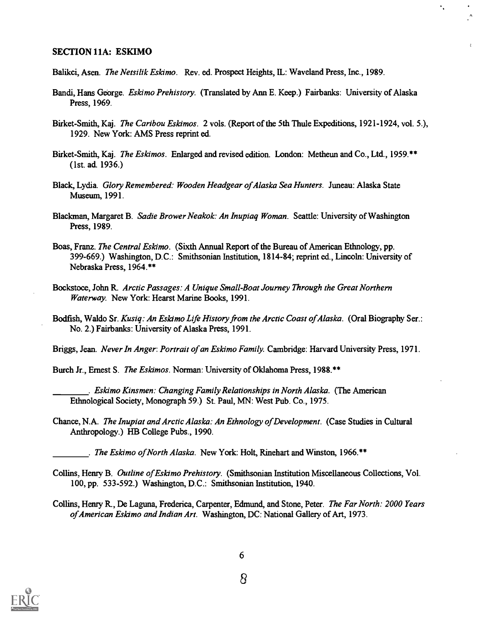#### SECTION 11A: ESKIMO

Balikci, Asen. The Netsilik Eskimo. Rev. ed. Prospect Heights, IL: Waveland Press, Inc., 1989.

Bandi, Hans George. Eskimo Prehistory. (Translated by Ann E. Keep.) Fairbanks: University of Alaska Press, 1969.

۰,

¢.

- Birket-Smith, Kaj. The Caribou Eskimos. 2 vols. (Report of the 5th Thule Expeditions, 1921-1924, vol. 5.), 1929. New York: AMS Press reprint ed.
- Birket-Smith, Kaj. The Eskimos. Enlarged and revised edition. London: Metheun and Co., Ltd., 1959.\*\* (1st. ad. 1936.)
- Black, Lydia. Glory Remembered: Wooden Headgear of Alaska Sea Hunters. Juneau: Alaska State Museum, 1991.
- Blackman, Margaret B. Sadie Brower Neakok: An Inupiaq Woman. Seattle: University of Washington Press, 1989.
- Boas, Franz. *The Central Eskimo.* (Sixth Annual Report of the Bureau of American Ethnology, pp. 399-669.) Washington, D.C.: Smithsonian Institution, 1814-84; reprint ed., Lincoln: University of Nebraska Press, 1964.\*\*
- Bockstoce, John R. Arctic Passages: A Unique Small-Boat Journey Through the Great Northern Waterway. New York: Hearst Marine Books, 1991.
- Bodfish, Waldo Sr. Kusiq: An Eskimo Life History from the Arctic Coast of Alaska. (Oral Biography Ser.: No. 2.) Fairbanks: University of Alaska Press, 1991.

Briggs, Jean. Never In Anger: Portrait of an Eskimo Family. Cambridge: Harvard University Press, 1971.

Burch Jr., Ernest S. The Eskimos. Norman: University of Oklahoma Press, 1988.\*\*

- . Eskimo Kinsmen: Changing Family Relationships in North Alaska. (The American Ethnological Society, Monograph 59.) St. Paul, MN: West Pub. Co., 1975.
- Chance, N.A. The Inupiat and Arctic Alaska: An Ethnology of Development. (Case Studies in Cultural Anthropology.) HB College Pubs., 1990.
	- . The Eskimo of North Alaska. New York: Holt, Rinehart and Winston, 1966.\*\*
- Collins, Henry B. Outline of Eskimo Prehistory. (Smithsonian Institution Miscellaneous Collections, Vol. 100, pp. 533-592.) Washington, D.C.: Smithsonian Institution, 1940.
- Collins, Henry R., De Laguna, Frederica, Carpenter, Edmund, and Stone, Peter. The Far North: 2000 Years of American Eskimo and Indian Art. Washington, DC: National Gallery of Art, 1973.

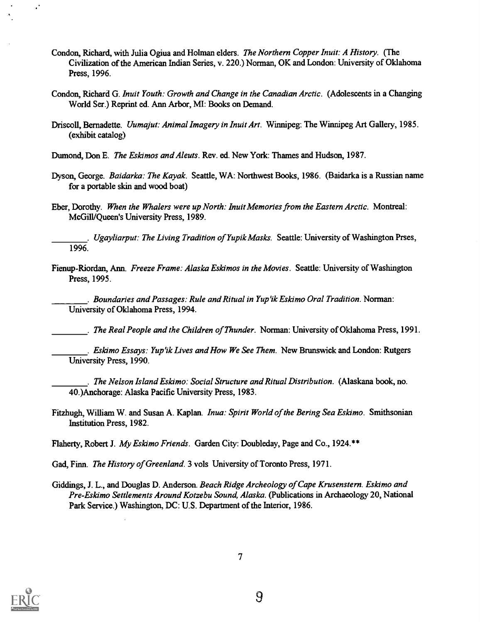- Condon, Richard, with Julia Ogiua and Holman elders. The Northern Copper Inuit: A History. (The Civilization of the American Indian Series, v. 220.) Norman, OK and London: University of Oklahoma Press, 1996.
- Condon, Richard G. Inuit Youth: Growth and Change in the Canadian Arctic. (Adolescents in a Changing World Ser.) Reprint ed. Ann Arbor, MI: Books on Demand.
- Driscoll, Bernadette. Uumajut: Animal Imagery in Inuit Art. Winnipeg: The Winnipeg Art Gallery, 1985. (exhibit catalog)

Dumond, Don E. The Eskimos and Aleuts. Rev. ed. New York: Thames and Hudson, 1987.

- Dyson, George. Baidarka: The Kayak. Seattle, WA: Northwest Books, 1986. (Baidarka is a Russian name for a portable skin and wood boat)
- Eber, Dorothy. When the Whalers were up North: Inuit Memories from the Eastern Arctic. Montreal: McGill/Queen's University Press, 1989.

. Ugayliarput: The Living Tradition of Yupik Masks. Seattle: University of Washington Prses, 1996.

Fienup-Riordan, Ann. Freeze Frame: Alaska Eskimos in the Movies. Seattle: University of Washington Press, 1995.

. Boundaries and Passages: Rule and Ritual in Yup'ik Eskimo Oral Tradition. Norman: University of Oklahoma Press, 1994.

. The Real People and the Children of Thunder. Norman: University of Oklahoma Press, 1991.

. Eskimo Essays: Yup'ik Lives and How We See Them. New Brunswick and London: Rutgers University Press, 1990.

. The Nelson Island Eskimo: Social Structure and Ritual Distribution. (Alaskana book, no. 40.)Anchorage: Alaska Pacific University Press, 1983.

Fitzhugh, William W. and Susan A. Kaplan. Inua: Spirit World of the Bering Sea Eskimo. Smithsonian Institution Press, 1982.

Flaherty, Robert J. My Eskimo Friends. Garden City: Doubleday, Page and Co., 1924.\*\*

- Gad, Finn. The History of Greenland. 3 vols University of Toronto Press, 1971.
- Giddings, J. L., and Douglas D. Anderson. Beach Ridge Archeology of Cape Krusenstern. Eskimo and Pre-Eskimo Settlements Around Kotzebu Sound, Alaska. (Publications in Archaeology 20, National Park Service.) Washington, DC: U.S. Department of the Interior, 1986.



 $\ddot{\phantom{a}}$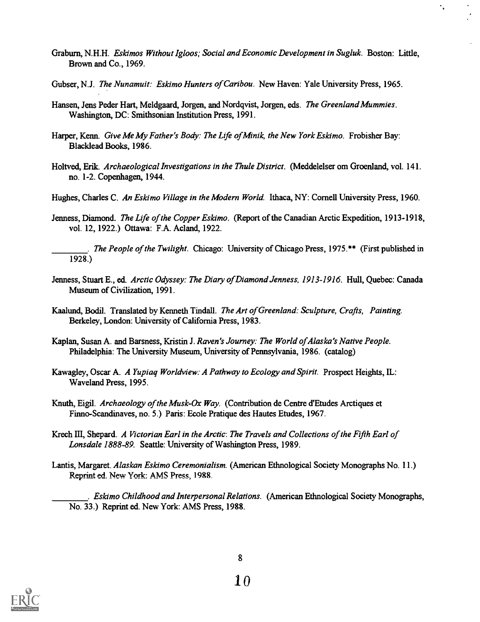Graburn, N.H.H. Eskimos Without Igloos; Social and Economic Development in Sugluk. Boston: Little, Brown and Co., 1969.

 $\ddot{\phantom{0}}$ 

- Gubser, N.J. The Nunamuit: Eskimo Hunters of Caribou. New Haven: Yale University Press, 1965.
- Hansen, Jens Peder Hart, Meldgaard, Jorgen, and Nordqvist, Jorgen, eds. The Greenland Mummies. Washington, DC: Smithsonian Institution Press, 1991.
- Harper, Kenn. Give Me My Father's Body: The Life of Minik, the New York Eskimo. Frobisher Bay: Blacklead Books, 1986.
- Holtved, Erik. Archaeological Investigations in the Thule District. (Meddelelser om Groenland, vol. 141. no. 1-2. Copenhagen, 1944.
- Hughes, Charles C. An Eskimo Village in the Modern World. Ithaca, NY: Cornell University Press, 1960.
- Jenness, Diamond. The Life of the Copper Eskimo. (Report of the Canadian Arctic Expedition, 1913-1918, vol. 12, 1922.) Ottawa: F.A. Acland, 1922.
	- . The People of the Twilight. Chicago: University of Chicago Press, 1975.\*\* (First published in 1928.)
- Jenness, Stuart E., ed. Arctic Odyssey: The Diary of Diamond Jenness, 1913-1916. Hull, Quebec: Canada Museum of Civilization, 1991.
- Kaalund, Bodil. Translated by Kenneth Tindall. The Art of Greenland: Sculpture, Crafts, Painting. Berkeley, London: University of California Press, 1983.
- Kaplan, Susan A. and Barsness, Kristin J. Raven's Journey: The World of Alaska's Native People. Philadelphia: The University Museum, University of Pennsylvania, 1986. (catalog)
- Kawagley, Oscar A. A Yupiaq Worldview: A Pathway to Ecology and Spirit. Prospect Heights, IL: Waveland Press, 1995.
- Knuth, Eigil. Archaeology of the Musk-Ox Way. (Contribution de Centre d'Etudes Arctiques et Finno-Scandinaves, no. 5.) Paris: Ecole Pratique des Hautes Etudes, 1967.
- Krech III, Shepard. A Victorian Earl in the Arctic: The Travels and Collections of the Fifth Earl of Lonsdale 1888-89. Seattle: University of Washington Press, 1989.
- Lantis, Margaret. Alaskan Eskimo Ceremonialism. (American Ethnological Society Monographs No. 11.) Reprint ed. New York: AMS Press, 1988.

. Eskimo Childhood and Interpersonal Relations. (American Ethnological Society Monographs, No. 33.) Reprint ed. New York: AMS Press, 1988.

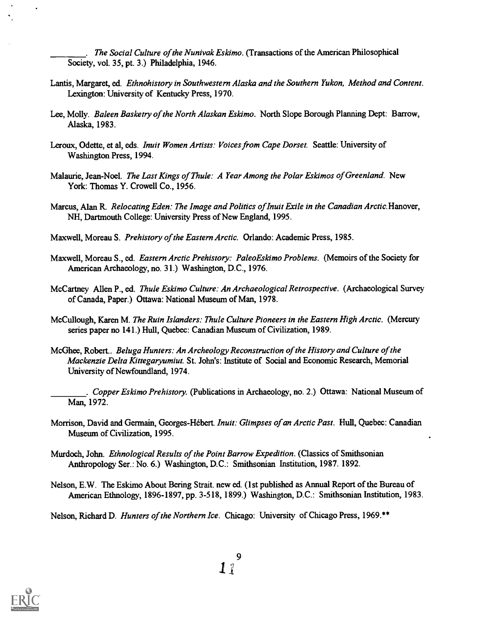. The Social Culture of the Nunivak Eskimo. (Transactions of the American Philosophical Society, vol. 35, pt. 3.) Philadelphia, 1946.

- Lantis, Margaret, ed. Ethnohistory in Southwestern Alaska and the Southern Yukon, Method and Content. Lexington: University of Kentucky Press, 1970.
- Lee, Molly. Baleen Basketry of the North Alaskan Eskimo. North Slope Borough Planning Dept: Barrow, Alaska, 1983.
- Leroux, Odette, et al, eds. Inuit Women Artists: Voices from Cape Dorset. Seattle: University of Washington Press, 1994.
- Malaurie, Jean-Noel. The Last Kings of Thule: A Year Among the Polar Eskimos of Greenland. New York: Thomas Y. Crowell Co., 1956.
- Marcus, Alan R. Relocating Eden: The Image and Politics of Inuit Exile in the Canadian Arctic. Hanover, NH, Dartmouth College: University Press of New England, 1995.
- Maxwell, Moreau S. Prehistory of the Eastern Arctic. Orlando: Academic Press, 1985.
- Maxwell, Moreau S., ed. Eastern Arctic Prehistory: PaleoEskimo Problems. (Memoirs of the Society for American Archaeology, no. 31.) Washington, D.C., 1976.
- McCartney Allen P., ed. Thule Eskimo Culture: An Archaeological Retrospective. (Archaeological Survey of Canada, Paper.) Ottawa: National Museum of Man, 1978.
- McCullough, Karen M. The Ruin Islanders: Thule Culture Pioneers in the Eastern High Arctic. (Mercury series paper no 141.) Hull, Quebec: Canadian Museum of Civilization, 1989.
- McGhee, Robert.. Beluga Hunters: An Archeology Reconstruction of the History and Culture of the Mackenzie Delta Kittegaryumiut. St. John's: Institute of Social and Economic Research, Memorial University of Newfoundland, 1974.
- . Copper Eskimo Prehistory. (Publications in Archaeology, no. 2.) Ottawa: National Museum of Man, 1972.
- Morrison, David and Germain, Georges-Hébert. Inuit: Glimpses of an Arctic Past. Hull, Quebec: Canadian Museum of Civilization, 1995.
- Murdoch, John. Ethnological Results of the Point Barrow Expedition. (Classics of Smithsonian Anthropology Ser.: No. 6.) Washington, D.C.: Smithsonian Institution, 1987. 1892.
- Nelson, E.W. The Eskimo About Bering Strait. new ed. (1st published as Annual Report of the Bureau of American Ethnology, 1896-1897, pp. 3-518, 1899.) Washington, D.C.: Smithsonian Institution, 1983.

Nelson, Richard D. Hunters of the Northern Ice. Chicago: University of Chicago Press, 1969.\*\*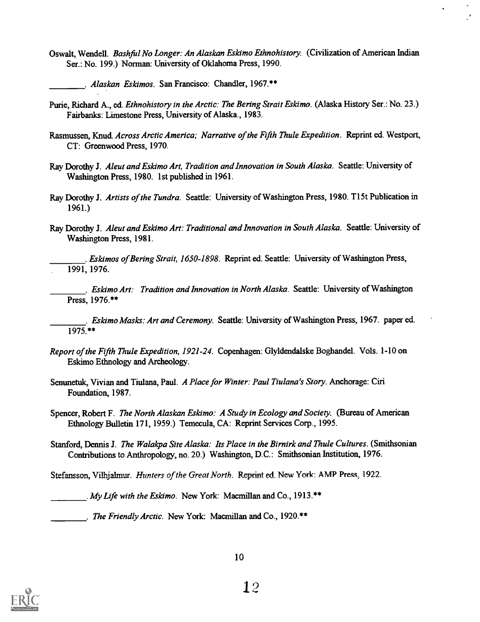Oswalt, Wendell. Bashful No Longer: An Alaskan Eskimo Ethnohistory. (Civilization of American Indian Ser.: No. 199.) Norman: University of Oklahoma Press, 1990.

. Alaskan Eskimos. San Francisco: Chandler, 1967.\*\*

- Purie, Richard A., ed. Ethnohistory in the Arctic: The Bering Strait Eskimo. (Alaska History Ser.: No. 23.) Fairbanks: Limestone Press, University of Alaska., 1983.
- Rasmussen, Knud. Across Arctic America; Narrative of the Fifth Thule Expedition. Reprint ed. Westport, CT: Greenwood Press, 1970.
- Ray Dorothy J. Aleut and Eskimo Art, Tradition and Innovation in South Alaska. Seattle: University of Washington Press, 1980. 1st published in 1961.
- Ray Dorothy J. Artists of the Tundra. Seattle: University of Washington Press, 1980. T15t Publication in 1961.)
- Ray Dorothy J. Aleut and Eskimo Art: Traditional and Innovation in South Alaska. Seattle: University of Washington Press, 1981.
- . Eskimos of Bering Strait, 1650-1898. Reprint ed. Seattle: University of Washington Press, 1991, 1976.

. Eskimo Art: Tradition and Innovation in North Alaska. Seattle: University of Washington Press, 1976.\*\*

. Eskimo Masks: Art and Ceremony. Seattle: University of Washington Press, 1967. paper ed.  $1975$ \*\*

- Report of the Fifth Thule Expedition, 1921-24. Copenhagen: Glyldendalske Boghandel. Vols. 1-10 on Eskimo Ethnology and Archeology.
- Senunetuk, Vivian and Tiulana, Paul. A Place for Winter: Paul Tiulana's Story. Anchorage: Ciri Foundation, 1987.
- Spencer, Robert F. The North Alaskan Eskimo: A Study in Ecology and Society. (Bureau of American Ethnology Bulletin 171, 1959.) Temecula, CA: Reprint Services Corp., 1995.
- Stanford, Dennis J. The Walakpa Site Alaska: Its Place in the Birnirk and Thule Cultures. (Smithsonian Contributions to Anthropology, no. 20.) Washington, D.C.: Smithsonian Institution, 1976.
- Stefansson, Vilhjalmur. *Hunters of the Great North.* Reprint ed. New York: AMP Press, 1922.

. My Life with the Eskimo. New York: Macmillan and Co., 1913. $**$ 

. The Friendly Arctic. New York: Macmillan and Co., 1920.\*\*

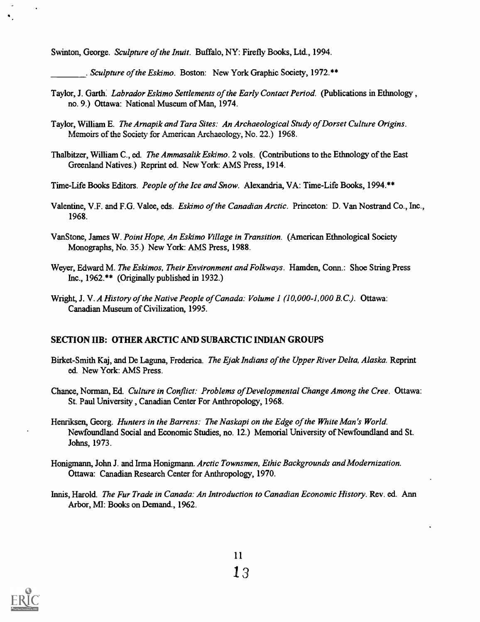Swinton, George. Sculpture of the Inuit. Buffalo, NY: Firefly Books, Ltd., 1994.

. Sculpture of the Eskimo. Boston: New York Graphic Society, 1972. \*\*

- Taylor, J. Garth. Labrador Eskimo Settlements of the Early Contact Period. (Publications in Ethnology, no. 9.) Ottawa: National Museum of Man, 1974.
- Taylor, William E. The Arnapik and Tara Sites: An Archaeological Study of Dorset Culture Origins. Memoirs of the Society for American Archaeology, No. 22.) 1968.
- Thalbitzer, William C., ed. The Ammasalik Eskimo. 2 vols. (Contributions to the Ethnology of the East Greenland Natives.) Reprint ed. New York: AMS Press, 1914.
- Time-Life Books Editors. People of the Ice and Snow. Alexandria, VA: Time-Life Books, 1994.\*\*
- Valentine, V.F. and F.G. Valee, eds. Eskimo of the Canadian Arctic. Princeton: D. Van Nostrand Co., Inc., 1968.
- VanStone, James W. Point Hope, An Eskimo Village in Transition. (American Ethnological Society Monographs, No. 35.) New York: AMS Press, 1988.
- Weyer, Edward M. The Eskimos, Their Environment and Folkways. Hamden, Conn.: Shoe String Press Inc., 1962.\*\* (Originally published in 1932.)
- Wright, J. V. A History of the Native People of Canada: Volume 1 (10,000-1,000 B.C.). Ottawa: Canadian Museum of Civilization, 1995.

#### SECTION IIB: OTHER ARCTIC AND SUBARCTIC INDIAN GROUPS

- Birket-Smith Kaj, and De Laguna, Frederica. The Ejak Indians of the Upper River Delta, Alaska. Reprint ed. New York: AMS Press.
- Chance, Norman, Ed. Culture in Conflict: Problems of Developmental Change Among the Cree. Ottawa: St. Paul University, Canadian Center For Anthropology, 1968.
- Henriksen, Georg. Hunters in the Barrens: The Naskapi on the Edge of the White Man's World. Newfoundland Social and Economic Studies, no. 12.) Memorial University of Newfoundland and St. Johns, 1973.
- Honigmann, John J. and Irma Honigmann. Arctic Townsmen, Ethic Backgrounds and Modernization. Ottawa: Canadian Research Center for Anthropology, 1970.
- Innis, Harold. The Fur Trade in Canada: An Introduction to Canadian Economic History. Rev. ed. Ann Arbor, MI: Books on Demand., 1962.

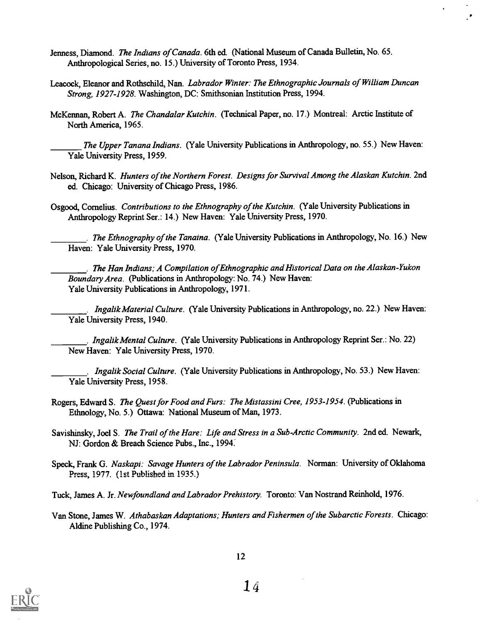- Jenness, Diamond. The Indians of Canada. 6th ed. (National Museum of Canada Bulletin, No. 65. Anthropological Series, no. 15.) University of Toronto Press, 1934.
- Leacock, Eleanor and Rothschild, Nan. Labrador Winter: The Ethnographic Journals of William Duncan Strong, 1927-1928. Washington, DC: Smithsonian Institution Press, 1994.
- McKennan, Robert A. The Chandalar Kutchin. (Technical Paper, no. 17.) Montreal: Arctic Institute of North America, 1965.

The Upper Tanana Indians. (Yale University Publications in Anthropology, no. 55.) New Haven: Yale University Press, 1959.

- Nelson, Richard K. Hunters of the Northern Forest. Designs for Survival Among the Alaskan Kutchin. 2nd ed. Chicago: University of Chicago Press, 1986.
- Osgood, Cornelius. Contributions to the Ethnography of the Kutchin. (Yale University Publications in Anthropology Reprint Ser.: 14.) New Haven: Yale University Press, 1970.

. The Ethnography of the Tanaina. (Yale University Publications in Anthropology, No. 16.) New Haven: Yale University Press, 1970.

. The Han Indians; A Compilation of Ethnographic and Historical Data on the Alaskan-Yukon Boundary Area. (Publications in Anthropology: No. 74.) New Haven: Yale University Publications in Anthropology, 1971.

. Ingalik Material Culture. (Yale University Publications in Anthropology, no. 22.) New Haven: Yale University Press, 1940.

. Ingalik Mental Culture. (Yale University Publications in Anthropology Reprint Ser.: No. 22) New Haven: Yale University Press, 1970.

. Ingalik Social Culture. (Yale University Publications in Anthropology, No. 53.) New Haven: Yale University Press, 1958.

Rogers, Edward S. The Quest for Food and Furs: The Mistassini Cree, 1953-1954. (Publications in Ethnology, No. 5.) Ottawa: National Museum of Man, 1973.

Savishinsky, Joel S. The Trail of the Hare: Life and Stress in a Sub-Arctic Community. 2nd ed. Newark, NJ: Gordon & Breach Science Pubs., Inc., 1994:

- Speck, Frank G. Naskapi: Savage Hunters of the Labrador Peninsula. Norman: University of Oklahoma Press, 1977. (1st Published in 1935.)
- Tuck, James A. Jr. Newfoundland and Labrador Prehistory. Toronto: Van Nostrand Reinhold, 1976.
- Van Stone, James W. Athabaskan Adaptations; Hunters and Fishermen of the Subarctic Forests. Chicago: Aldine Publishing Co., 1974.

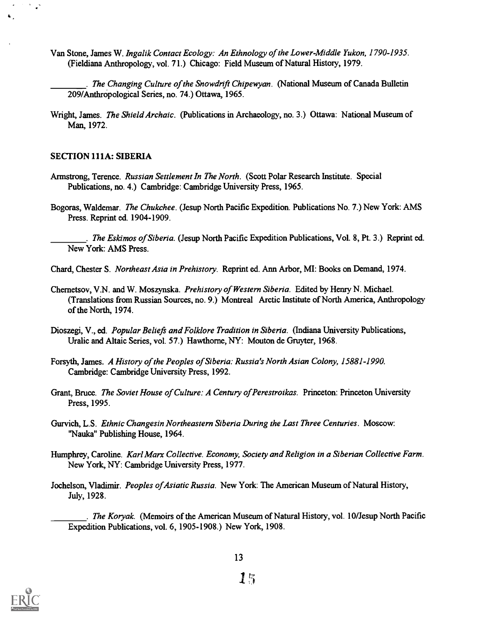- Van Stone, James W. Ingalik Contact Ecology: An Ethnology of the Lower-Middle Yukon, 1790-1935. (Fieldiana Anthropology, vol. 71.) Chicago: Field Museum of Natural History, 1979.
	- The Changing Culture of the Snowdnft Chipexyan. (National Museum of Canada Bulletin 209/Anthropological Series, no. 74.) Ottawa, 1965.
- Wright, James. The Shield Archaic. (Publications in Archaeology, no. 3.) Ottawa: National Museum of Man, 1972.

#### SECTION 111A: SIBERIA

 $\frac{1}{2}$ 

- Armstrong, Terence. Russian Settlement In The North. (Scott Polar Research Institute. Special Publications, no. 4.) Cambridge: Cambridge University Press, 1965.
- Bogoras, Waldemar. The Chukchee. (Jesup North Pacific Expedition. Publications No. 7.) New York: AMS Press. Reprint ed. 1904-1909.
	- . The Eskimos of Siberia. (Jesup North Pacific Expedition Publications, Vol. 8, Pt. 3.) Reprint ed. New York: AMS Press.
- Chard, Chester S. Northeast Asia in Prehistory. Reprint ed. Ann Arbor, MI: Books on Demand, 1974.
- Chernetsov, V.N. and W. Moszynska. Prehistory of Western Siberia. Edited by Henry N. Michael. (Translations from Russian Sources, no. 9.) Montreal Arctic Institute of North America, Anthropology of the North, 1974.
- Dioszegi, V., ed. Popular Beliefs and Folklore Tradition in Siberia. (Indiana University Publications, Uralic and Altaic Series, vol. 57.) Hawthorne, NY: Mouton de Gruyter, 1968.
- Forsyth, James. A History of the Peoples of Siberia: Russia's North Asian Colony, 15881-1990. Cambridge: Cambridge University Press, 1992.
- Grant, Bruce. The Soviet House of Culture: A Century of Perestroikas. Princeton: Princeton University Press, 1995.
- Gurvich, L.S. Ethnic Changesin Northeastern Siberia During the Last Three Centuries. Moscow: "Nauka" Publishing House, 1964.
- Humphrey, Caroline. Karl Marx Collective. Economy, Society and Religion in a Siberian Collective Farm. New York, NY: Cambridge University Press, 1977.
- Jochelson, Vladimir. Peoples of Asiatic Russia. New York: The American Museum of Natural History, July, 1928.

. The Koryak. (Memoirs of the American Museum of Natural History, vol. 10/Jesup North Pacific Expedition Publications, vol. 6, 1905-1908.) New York, 1908.

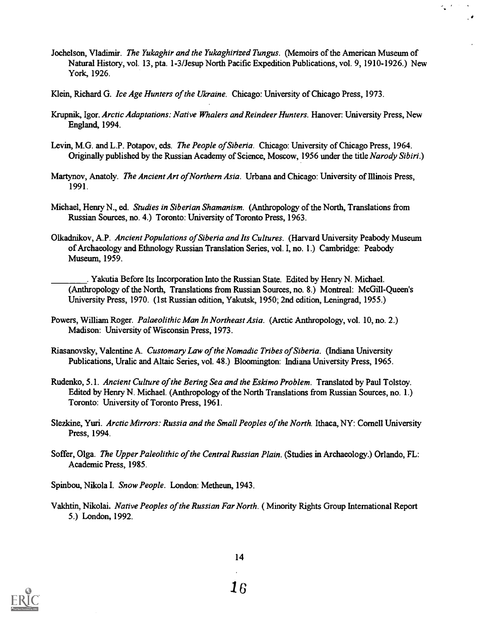Jochelson, Vladimir. *The Yukaghir and the Yukaghirized Tungus.* (Memoirs of the American Museum of Natural History, vol. 13, pta. 1-3/Jesup North Pacific Expedition Publications, vol. 9, 1910-1926.) New York, 1926.

 $\frac{1}{2}$ 

 $\cdot$ 

- Klein, Richard G. Ice Age Hunters of the Ukraine. Chicago: University of Chicago Press, 1973.
- Krupnik, Igor. Arctic Adaptations: Native Whalers and Reindeer Hunters. Hanover: University Press, New England, 1994.
- Levin, M.G. and L.P. Potapov, eds. The People of Siberia. Chicago: University of Chicago Press, 1964. Originally published by the Russian Academy of Science, Moscow, 1956 under the title Narody Sibiri.)
- Martynov, Anatoly. The Ancient Art of Northern Asia. Urbana and Chicago: University of Illinois Press, 1991.
- Michael, Henry N., ed. Studies in Siberian Shamanism. (Anthropology of the North, Translations from Russian Sources, no. 4.) Toronto: University of Toronto Press, 1963.
- Olkadnikov, A.P. Ancient Populations of Siberia and Its Cultures. (Harvard University Peabody Museum of Archaeology and Ethnology Russian Translation Series, vol. I, no. 1.) Cambridge: Peabody Museum, 1959.
	- . Yakutia Before Its Incorporation Into the Russian State. Edited by Henry N. Michael. (Anthropology of the North, Translations from Russian Sources, no. 8.) Montreal: McGill-Queen's University Press, 1970. (1st Russian edition, Yakutsk, 1950; 2nd edition, Leningrad, 1955.)
- Powers, William Roger. Palaeolithic Man In Northeast Asia. (Arctic Anthropology, vol. 10, no. 2.) Madison: University of Wisconsin Press, 1973.
- Riasanovsky, Valentine A. Customary Law of the Nomadic Tribes of Siberia. (Indiana University Publications, Uralic and Altaic Series, vol. 48.) Bloomington: Indiana University Press, 1965.
- Rudenko, 5.1. Ancient Culture of the Bering Sea and the Eskimo Problem. Translated by Paul Tolstoy. Edited by Henry N. Michael. (Anthropology of the North Translations from Russian Sources, no. 1.) Toronto: University of Toronto Press, 1961.
- Slezkine, Yuri. Arctic Mirrors: Russia and the Small Peoples of the North. Ithaca, NY: Cornell University Press, 1994.
- Soffer, Olga. The Upper Paleolithic of the Central Russian Plain. (Studies in Archaeology.) Orlando, FL: Academic Press, 1985.

Spinbou, Nikola I. Snow People. London: Metheun, 1943.

Vakhtin, Nikolai. *Native Peoples of the Russian Far North.* (Minority Rights Group International Report 5.) London, 1992.

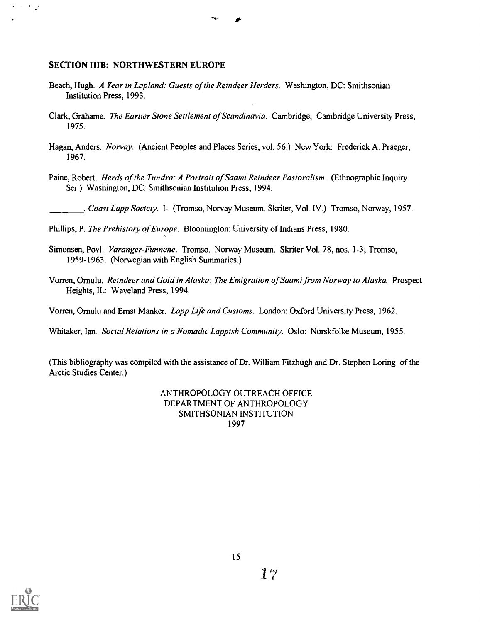#### SECTION IIIB: NORTHWESTERN EUROPE

 $\langle\cdot\mid\cdot\rangle_{\mathbf{w}}$ 

- Beach, Hugh. A Year in Lapland: Guests of the Reindeer Herders. Washington, DC: Smithsonian Institution Press, 1993.
- Clark, Grahame. The Earlier Stone Settlement of Scandinavia. Cambridge; Cambridge University Press, 1975.
- Hagan, Anders. Norvay. (Ancient Peoples and Places Series, vol. 56.) New York: Frederick A. Praeger, 1967.
- Paine, Robert. Herds of the Tundra: A Portrait of Saami Reindeer Pastoralism. (Ethnographic Inquiry Ser.) Washington, DC: Smithsonian Institution Press, 1994.

. Coast Lapp Society. I- (Tromso, Norvay Museum. Skriter, Vol. IV.) Tromso, Norway, 1957.

Phillips, P. The Prehistory of Europe. Bloomington: University of Indians Press, 1980.

- Simonsen, Povl. Varanger-Funnene. Tromso, Norway Museum. Skriter Vol. 78, nos. 1-3; Tromso, 1959-1963. (Norwegian with English Summaries.)
- Vorren, Ornulu. Reindeer and Gold in Alaska: The Emigration of Saami from Norway to Alaska. Prospect Heights, IL: Waveland Press, 1994.

Vorren, Ornulu and Ernst Manker. Lapp Life and Customs. London: Oxford University Press, 1962.

Whitaker, Ian. Social Relations in a Nomadic Lappish Community. Oslo: Norskfolke Museum, 1955.

(This bibliography was compiled with the assistance of Dr. William Fitzhugh and Dr. Stephen Loring of the Arctic Studies Center.)

> ANTHROPOLOGY OUTREACH OFFICE DEPARTMENT OF ANTHROPOLOGY SMITHSONIAN INSTITUTION 1997